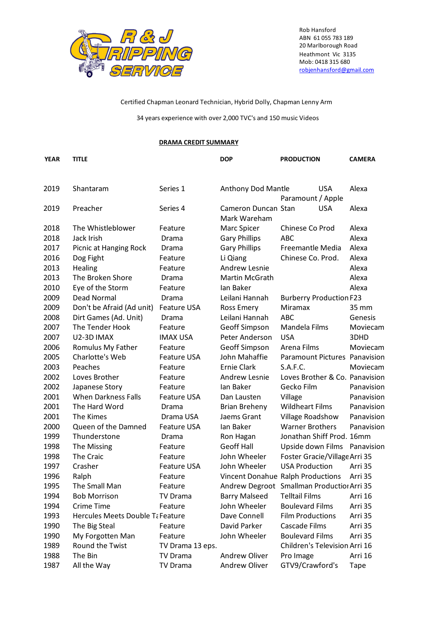

Rob Hansford ABN 61 055 783 189 20 Marlborough Road Heathmont Vic 3135 Mob: 0418 315 680 robjenhansford@gmail.com

Certified Chapman Leonard Technician, Hybrid Dolly, Chapman Lenny Arm

34 years experience with over 2,000 TVC's and 150 music Videos

## **DRAMA CREDIT SUMMARY**

| <b>YEAR</b> | <b>TITLE</b>                     |                    | <b>DOP</b>                          | <b>PRODUCTION</b>                          | <b>CAMERA</b> |
|-------------|----------------------------------|--------------------|-------------------------------------|--------------------------------------------|---------------|
| 2019        | Shantaram                        | Series 1           | Anthony Dod Mantle                  | <b>USA</b>                                 | Alexa         |
|             |                                  |                    |                                     | Paramount / Apple                          |               |
| 2019        | Preacher                         | Series 4           | Cameron Duncan Stan<br>Mark Wareham | <b>USA</b>                                 | Alexa         |
| 2018        | The Whistleblower                | Feature            | Marc Spicer                         | Chinese Co Prod                            | Alexa         |
| 2018        | Jack Irish                       | Drama              | <b>Gary Phillips</b>                | <b>ABC</b>                                 | Alexa         |
| 2017        | Picnic at Hanging Rock           | Drama              | <b>Gary Phillips</b>                | Freemantle Media                           | Alexa         |
| 2016        | Dog Fight                        | Feature            | Li Qiang                            | Chinese Co. Prod.                          | Alexa         |
| 2013        | Healing                          | Feature            | Andrew Lesnie                       |                                            | Alexa         |
| 2013        | The Broken Shore                 | Drama              | Martin McGrath                      |                                            | Alexa         |
| 2010        | Eye of the Storm                 | Feature            | Ian Baker                           |                                            | Alexa         |
| 2009        | Dead Normal                      | Drama              | Leilani Hannah                      | <b>Burberry Production F23</b>             |               |
| 2009        | Don't be Afraid (Ad unit)        | <b>Feature USA</b> | Ross Emery                          | Miramax                                    | 35 mm         |
| 2008        | Dirt Games (Ad. Unit)            | Drama              | Leilani Hannah                      | <b>ABC</b>                                 | Genesis       |
| 2007        | The Tender Hook                  | Feature            | Geoff Simpson                       | Mandela Films                              | Moviecam      |
| 2007        | U2-3D IMAX                       | <b>IMAX USA</b>    | Peter Anderson                      | <b>USA</b>                                 | 3DHD          |
| 2006        | Romulus My Father                | Feature            | Geoff Simpson                       | Arena Films                                | Moviecam      |
| 2005        | Charlotte's Web                  | <b>Feature USA</b> | John Mahaffie                       | Paramount Pictures Panavision              |               |
| 2003        | Peaches                          | Feature            | <b>Ernie Clark</b>                  | S.A.F.C.                                   | Moviecam      |
| 2002        | Loves Brother                    | Feature            | Andrew Lesnie                       | Loves Brother & Co. Panavision             |               |
| 2002        | Japanese Story                   | Feature            | Ian Baker                           | Gecko Film                                 | Panavision    |
| 2001        | <b>When Darkness Falls</b>       | <b>Feature USA</b> | Dan Lausten                         | Village                                    | Panavision    |
| 2001        | The Hard Word                    | Drama              | <b>Brian Breheny</b>                | <b>Wildheart Films</b>                     | Panavision    |
| 2001        | The Kimes                        | Drama USA          | Jaems Grant                         | Village Roadshow                           | Panavision    |
| 2000        | Queen of the Damned              | <b>Feature USA</b> | Ian Baker                           | <b>Warner Brothers</b>                     | Panavision    |
| 1999        | Thunderstone                     | Drama              | Ron Hagan                           | Jonathan Shiff Prod. 16mm                  |               |
| 1998        | The Missing                      | Feature            | <b>Geoff Hall</b>                   | Upside down Films Panavision               |               |
| 1998        | The Craic                        | Feature            | John Wheeler                        | Foster Gracie/Village Arri 35              |               |
| 1997        | Crasher                          | <b>Feature USA</b> | John Wheeler                        | <b>USA Production</b>                      | Arri 35       |
| 1996        | Ralph                            | Feature            |                                     | Vincent Donahue Ralph Productions          | Arri 35       |
| 1995        | The Small Man                    | Feature            |                                     | Andrew Degroot Smallman Production Arri 35 |               |
| 1994        | <b>Bob Morrison</b>              | <b>TV Drama</b>    | <b>Barry Malseed</b>                | <b>Telltail Films</b>                      | Arri 16       |
| 1994        | Crime Time                       | Feature            | John Wheeler                        | <b>Boulevard Films</b>                     | Arri 35       |
| 1993        | Hercules Meets Double Ta Feature |                    | Dave Connell                        | <b>Film Productions</b>                    | Arri 35       |
| 1990        | The Big Steal                    | Feature            | David Parker                        | Cascade Films                              | Arri 35       |
| 1990        | My Forgotten Man                 | Feature            | John Wheeler                        | <b>Boulevard Films</b>                     | Arri 35       |
| 1989        | Round the Twist                  | TV Drama 13 eps.   |                                     | Children's Television Arri 16              |               |
| 1988        | The Bin                          | <b>TV Drama</b>    | Andrew Oliver                       | Pro Image                                  | Arri 16       |
| 1987        | All the Way                      | <b>TV Drama</b>    | Andrew Oliver                       | GTV9/Crawford's                            | Tape          |